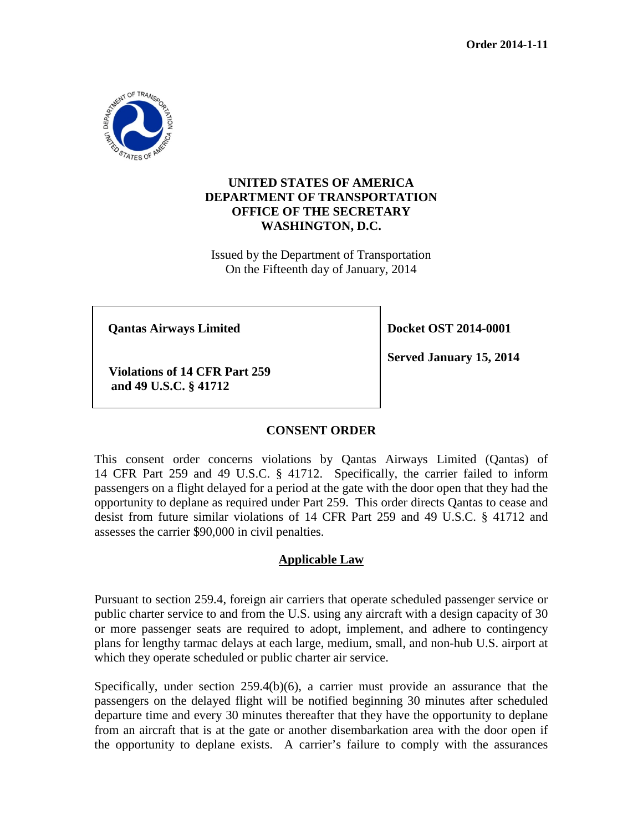

# **UNITED STATES OF AMERICA DEPARTMENT OF TRANSPORTATION OFFICE OF THE SECRETARY WASHINGTON, D.C.**

Issued by the Department of Transportation On the Fifteenth day of January, 2014

**Qantas Airways Limited Docket OST 2014-0001** 

**Violations of 14 CFR Part 259 and 49 U.S.C. § 41712** 

**Served January 15, 2014**

### **CONSENT ORDER**

This consent order concerns violations by Qantas Airways Limited (Qantas) of 14 CFR Part 259 and 49 U.S.C. § 41712. Specifically, the carrier failed to inform passengers on a flight delayed for a period at the gate with the door open that they had the opportunity to deplane as required under Part 259. This order directs Qantas to cease and desist from future similar violations of 14 CFR Part 259 and 49 U.S.C. § 41712 and assesses the carrier \$90,000 in civil penalties.

### **Applicable Law**

Pursuant to section 259.4, foreign air carriers that operate scheduled passenger service or public charter service to and from the U.S. using any aircraft with a design capacity of 30 or more passenger seats are required to adopt, implement, and adhere to contingency plans for lengthy tarmac delays at each large, medium, small, and non-hub U.S. airport at which they operate scheduled or public charter air service.

Specifically, under section 259.4(b)(6), a carrier must provide an assurance that the passengers on the delayed flight will be notified beginning 30 minutes after scheduled departure time and every 30 minutes thereafter that they have the opportunity to deplane from an aircraft that is at the gate or another disembarkation area with the door open if the opportunity to deplane exists. A carrier's failure to comply with the assurances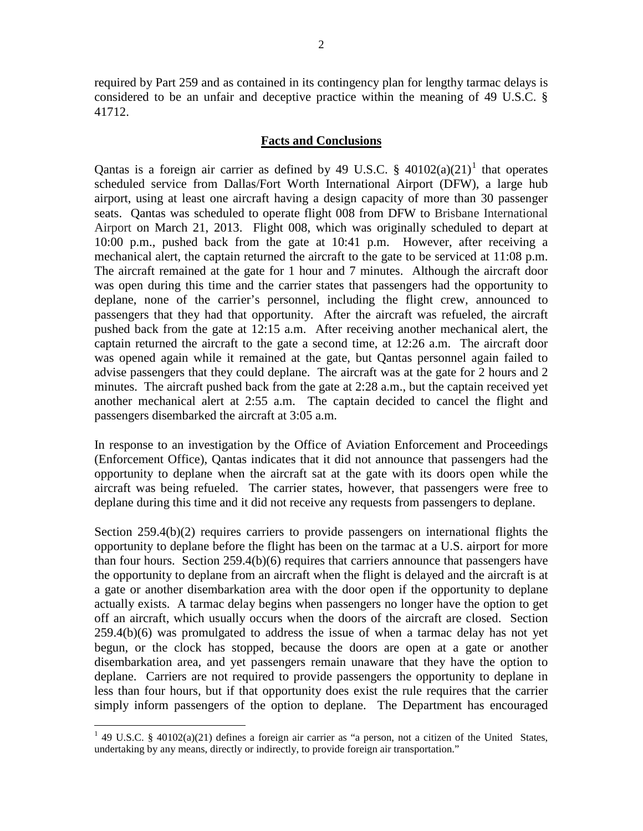required by Part 259 and as contained in its contingency plan for lengthy tarmac delays is considered to be an unfair and deceptive practice within the meaning of 49 U.S.C. § 41712.

#### **Facts and Conclusions**

Qantas is a foreign air carrier as defined by 49 U.S.C.  $\S$  40[1](#page-1-0)02(a)(21)<sup>1</sup> that operates scheduled service from Dallas/Fort Worth International Airport (DFW), a large hub airport, using at least one aircraft having a design capacity of more than 30 passenger seats. Qantas was scheduled to operate flight 008 from DFW to Brisbane International Airport on March 21, 2013. Flight 008, which was originally scheduled to depart at 10:00 p.m., pushed back from the gate at 10:41 p.m. However, after receiving a mechanical alert, the captain returned the aircraft to the gate to be serviced at 11:08 p.m. The aircraft remained at the gate for 1 hour and 7 minutes. Although the aircraft door was open during this time and the carrier states that passengers had the opportunity to deplane, none of the carrier's personnel, including the flight crew, announced to passengers that they had that opportunity. After the aircraft was refueled, the aircraft pushed back from the gate at 12:15 a.m. After receiving another mechanical alert, the captain returned the aircraft to the gate a second time, at 12:26 a.m. The aircraft door was opened again while it remained at the gate, but Qantas personnel again failed to advise passengers that they could deplane. The aircraft was at the gate for 2 hours and 2 minutes. The aircraft pushed back from the gate at 2:28 a.m., but the captain received yet another mechanical alert at 2:55 a.m. The captain decided to cancel the flight and passengers disembarked the aircraft at 3:05 a.m.

In response to an investigation by the Office of Aviation Enforcement and Proceedings (Enforcement Office), Qantas indicates that it did not announce that passengers had the opportunity to deplane when the aircraft sat at the gate with its doors open while the aircraft was being refueled. The carrier states, however, that passengers were free to deplane during this time and it did not receive any requests from passengers to deplane.

Section  $259.4(b)(2)$  requires carriers to provide passengers on international flights the opportunity to deplane before the flight has been on the tarmac at a U.S. airport for more than four hours. Section 259.4(b)(6) requires that carriers announce that passengers have the opportunity to deplane from an aircraft when the flight is delayed and the aircraft is at a gate or another disembarkation area with the door open if the opportunity to deplane actually exists. A tarmac delay begins when passengers no longer have the option to get off an aircraft, which usually occurs when the doors of the aircraft are closed. Section 259.4(b)(6) was promulgated to address the issue of when a tarmac delay has not yet begun, or the clock has stopped, because the doors are open at a gate or another disembarkation area, and yet passengers remain unaware that they have the option to deplane. Carriers are not required to provide passengers the opportunity to deplane in less than four hours, but if that opportunity does exist the rule requires that the carrier simply inform passengers of the option to deplane. The Department has encouraged

<span id="page-1-0"></span><sup>&</sup>lt;sup>1</sup> 49 U.S.C. § 40102(a)(21) defines a foreign air carrier as "a person, not a citizen of the United States, undertaking by any means, directly or indirectly, to provide foreign air transportation."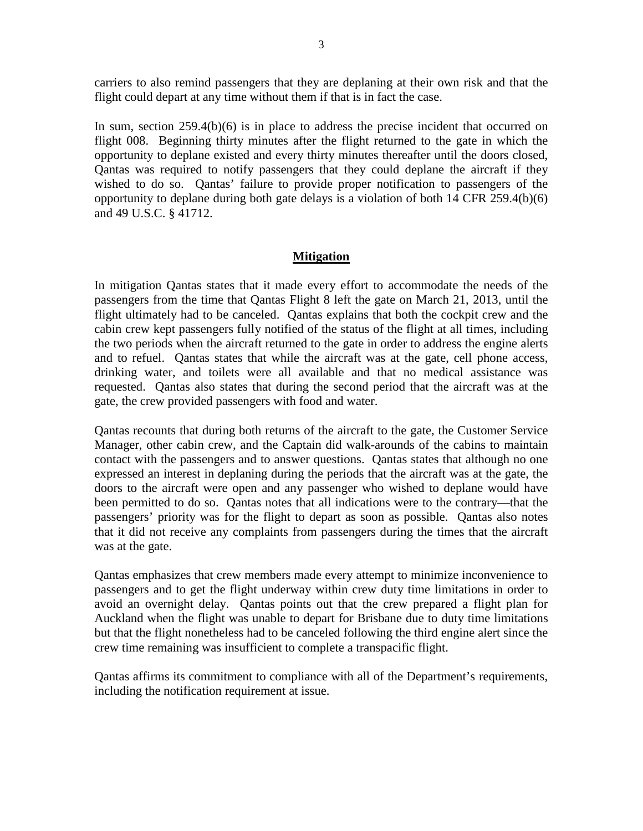carriers to also remind passengers that they are deplaning at their own risk and that the flight could depart at any time without them if that is in fact the case.

In sum, section 259.4(b)(6) is in place to address the precise incident that occurred on flight 008. Beginning thirty minutes after the flight returned to the gate in which the opportunity to deplane existed and every thirty minutes thereafter until the doors closed, Qantas was required to notify passengers that they could deplane the aircraft if they wished to do so. Qantas' failure to provide proper notification to passengers of the opportunity to deplane during both gate delays is a violation of both 14 CFR 259.4(b)(6) and 49 U.S.C. § 41712.

### **Mitigation**

In mitigation Qantas states that it made every effort to accommodate the needs of the passengers from the time that Qantas Flight 8 left the gate on March 21, 2013, until the flight ultimately had to be canceled. Qantas explains that both the cockpit crew and the cabin crew kept passengers fully notified of the status of the flight at all times, including the two periods when the aircraft returned to the gate in order to address the engine alerts and to refuel. Qantas states that while the aircraft was at the gate, cell phone access, drinking water, and toilets were all available and that no medical assistance was requested. Qantas also states that during the second period that the aircraft was at the gate, the crew provided passengers with food and water.

Qantas recounts that during both returns of the aircraft to the gate, the Customer Service Manager, other cabin crew, and the Captain did walk-arounds of the cabins to maintain contact with the passengers and to answer questions. Qantas states that although no one expressed an interest in deplaning during the periods that the aircraft was at the gate, the doors to the aircraft were open and any passenger who wished to deplane would have been permitted to do so. Qantas notes that all indications were to the contrary—that the passengers' priority was for the flight to depart as soon as possible. Qantas also notes that it did not receive any complaints from passengers during the times that the aircraft was at the gate.

Qantas emphasizes that crew members made every attempt to minimize inconvenience to passengers and to get the flight underway within crew duty time limitations in order to avoid an overnight delay. Qantas points out that the crew prepared a flight plan for Auckland when the flight was unable to depart for Brisbane due to duty time limitations but that the flight nonetheless had to be canceled following the third engine alert since the crew time remaining was insufficient to complete a transpacific flight.

Qantas affirms its commitment to compliance with all of the Department's requirements, including the notification requirement at issue.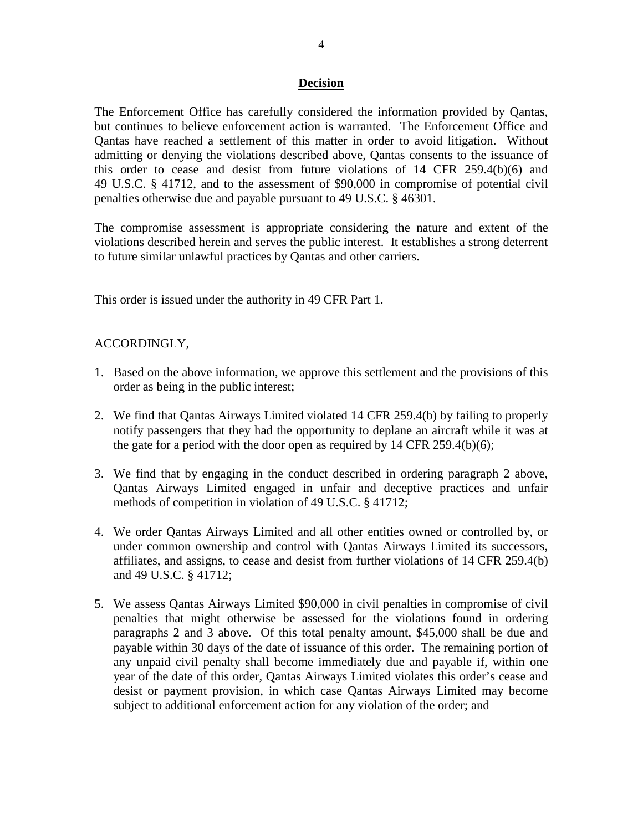#### **Decision**

The Enforcement Office has carefully considered the information provided by Qantas, but continues to believe enforcement action is warranted. The Enforcement Office and Qantas have reached a settlement of this matter in order to avoid litigation. Without admitting or denying the violations described above, Qantas consents to the issuance of this order to cease and desist from future violations of 14 CFR 259.4(b)(6) and 49 U.S.C. § 41712, and to the assessment of \$90,000 in compromise of potential civil penalties otherwise due and payable pursuant to 49 U.S.C. § 46301.

The compromise assessment is appropriate considering the nature and extent of the violations described herein and serves the public interest. It establishes a strong deterrent to future similar unlawful practices by Qantas and other carriers.

This order is issued under the authority in 49 CFR Part 1.

## ACCORDINGLY,

- 1. Based on the above information, we approve this settlement and the provisions of this order as being in the public interest;
- 2. We find that Qantas Airways Limited violated 14 CFR 259.4(b) by failing to properly notify passengers that they had the opportunity to deplane an aircraft while it was at the gate for a period with the door open as required by  $14$  CFR  $259.4(b)(6)$ ;
- 3. We find that by engaging in the conduct described in ordering paragraph 2 above, Qantas Airways Limited engaged in unfair and deceptive practices and unfair methods of competition in violation of 49 U.S.C. § 41712;
- 4. We order Qantas Airways Limited and all other entities owned or controlled by, or under common ownership and control with Qantas Airways Limited its successors, affiliates, and assigns, to cease and desist from further violations of 14 CFR 259.4(b) and 49 U.S.C. § 41712;
- 5. We assess Qantas Airways Limited \$90,000 in civil penalties in compromise of civil penalties that might otherwise be assessed for the violations found in ordering paragraphs 2 and 3 above. Of this total penalty amount, \$45,000 shall be due and payable within 30 days of the date of issuance of this order. The remaining portion of any unpaid civil penalty shall become immediately due and payable if, within one year of the date of this order, Qantas Airways Limited violates this order's cease and desist or payment provision, in which case Qantas Airways Limited may become subject to additional enforcement action for any violation of the order; and